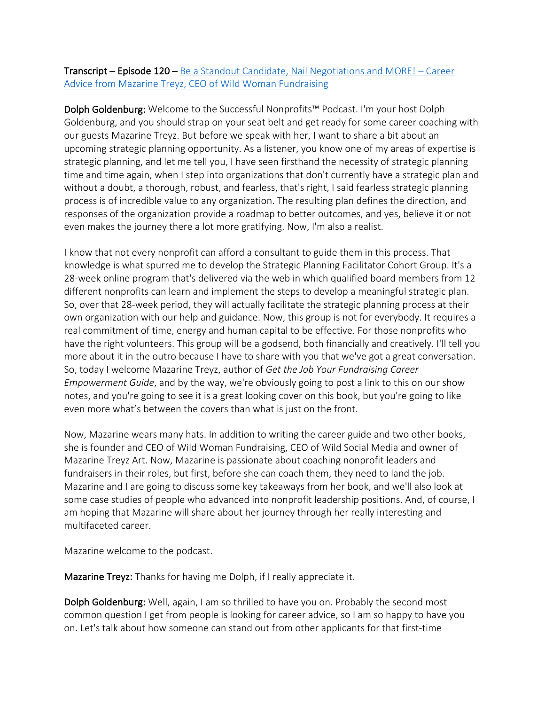## **Transcript – Episode 120 –** Be a Standout Candidate, Nail Negotiations and MORE! – Career Advice from Mazarine Treyz, CEO of Wild Woman Fundraising

Dolph Goldenburg: Welcome to the Successful Nonprofits™ Podcast. I'm your host Dolph Goldenburg, and you should strap on your seat belt and get ready for some career coaching with our guests Mazarine Treyz. But before we speak with her, I want to share a bit about an upcoming strategic planning opportunity. As a listener, you know one of my areas of expertise is strategic planning, and let me tell you, I have seen firsthand the necessity of strategic planning time and time again, when I step into organizations that don't currently have a strategic plan and without a doubt, a thorough, robust, and fearless, that's right, I said fearless strategic planning process is of incredible value to any organization. The resulting plan defines the direction, and responses of the organization provide a roadmap to better outcomes, and yes, believe it or not even makes the journey there a lot more gratifying. Now, I'm also a realist.

I know that not every nonprofit can afford a consultant to guide them in this process. That knowledge is what spurred me to develop the Strategic Planning Facilitator Cohort Group. It's a 28-week online program that's delivered via the web in which qualified board members from 12 different nonprofits can learn and implement the steps to develop a meaningful strategic plan. So, over that 28-week period, they will actually facilitate the strategic planning process at their own organization with our help and guidance. Now, this group is not for everybody. It requires a real commitment of time, energy and human capital to be effective. For those nonprofits who have the right volunteers. This group will be a godsend, both financially and creatively. I'll tell you more about it in the outro because I have to share with you that we've got a great conversation. So, today I welcome Mazarine Treyz, author of *Get the Job Your Fundraising Career Empowerment Guide*, and by the way, we're obviously going to post a link to this on our show notes, and you're going to see it is a great looking cover on this book, but you're going to like even more what's between the covers than what is just on the front.

Now, Mazarine wears many hats. In addition to writing the career guide and two other books, she is founder and CEO of Wild Woman Fundraising, CEO of Wild Social Media and owner of Mazarine Treyz Art. Now, Mazarine is passionate about coaching nonprofit leaders and fundraisers in their roles, but first, before she can coach them, they need to land the job. Mazarine and I are going to discuss some key takeaways from her book, and we'll also look at some case studies of people who advanced into nonprofit leadership positions. And, of course, I am hoping that Mazarine will share about her journey through her really interesting and multifaceted career.

Mazarine welcome to the podcast.

Mazarine Treyz: Thanks for having me Dolph, if I really appreciate it.

Dolph Goldenburg: Well, again, I am so thrilled to have you on. Probably the second most common question I get from people is looking for career advice, so I am so happy to have you on. Let's talk about how someone can stand out from other applicants for that first-time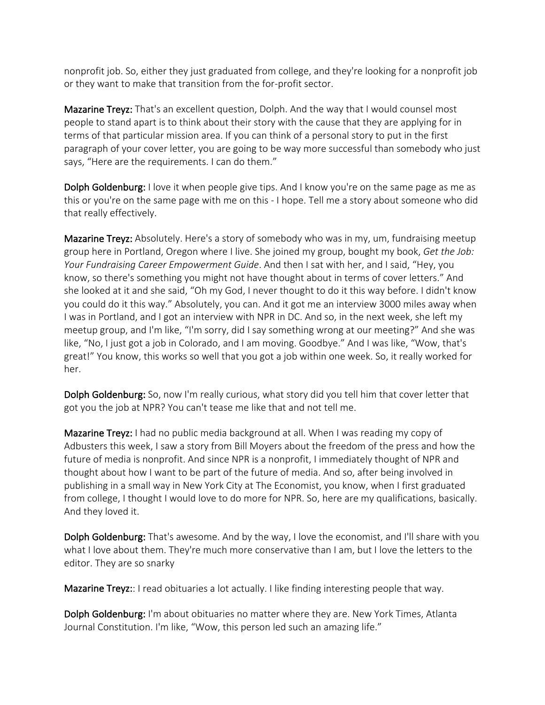nonprofit job. So, either they just graduated from college, and they're looking for a nonprofit job or they want to make that transition from the for-profit sector.

Mazarine Treyz: That's an excellent question, Dolph. And the way that I would counsel most people to stand apart is to think about their story with the cause that they are applying for in terms of that particular mission area. If you can think of a personal story to put in the first paragraph of your cover letter, you are going to be way more successful than somebody who just says, "Here are the requirements. I can do them."

Dolph Goldenburg: I love it when people give tips. And I know you're on the same page as me as this or you're on the same page with me on this - I hope. Tell me a story about someone who did that really effectively.

Mazarine Treyz: Absolutely. Here's a story of somebody who was in my, um, fundraising meetup group here in Portland, Oregon where I live. She joined my group, bought my book, *Get the Job: Your Fundraising Career Empowerment Guide*. And then I sat with her, and I said, "Hey, you know, so there's something you might not have thought about in terms of cover letters." And she looked at it and she said, "Oh my God, I never thought to do it this way before. I didn't know you could do it this way." Absolutely, you can. And it got me an interview 3000 miles away when I was in Portland, and I got an interview with NPR in DC. And so, in the next week, she left my meetup group, and I'm like, "I'm sorry, did I say something wrong at our meeting?" And she was like, "No, I just got a job in Colorado, and I am moving. Goodbye." And I was like, "Wow, that's great!" You know, this works so well that you got a job within one week. So, it really worked for her.

Dolph Goldenburg: So, now I'm really curious, what story did you tell him that cover letter that got you the job at NPR? You can't tease me like that and not tell me.

Mazarine Treyz: I had no public media background at all. When I was reading my copy of Adbusters this week, I saw a story from Bill Moyers about the freedom of the press and how the future of media is nonprofit. And since NPR is a nonprofit, I immediately thought of NPR and thought about how I want to be part of the future of media. And so, after being involved in publishing in a small way in New York City at The Economist, you know, when I first graduated from college, I thought I would love to do more for NPR. So, here are my qualifications, basically. And they loved it.

Dolph Goldenburg: That's awesome. And by the way, I love the economist, and I'll share with you what I love about them. They're much more conservative than I am, but I love the letters to the editor. They are so snarky

Mazarine Treyz:: I read obituaries a lot actually. I like finding interesting people that way.

Dolph Goldenburg: I'm about obituaries no matter where they are. New York Times, Atlanta Journal Constitution. I'm like, "Wow, this person led such an amazing life."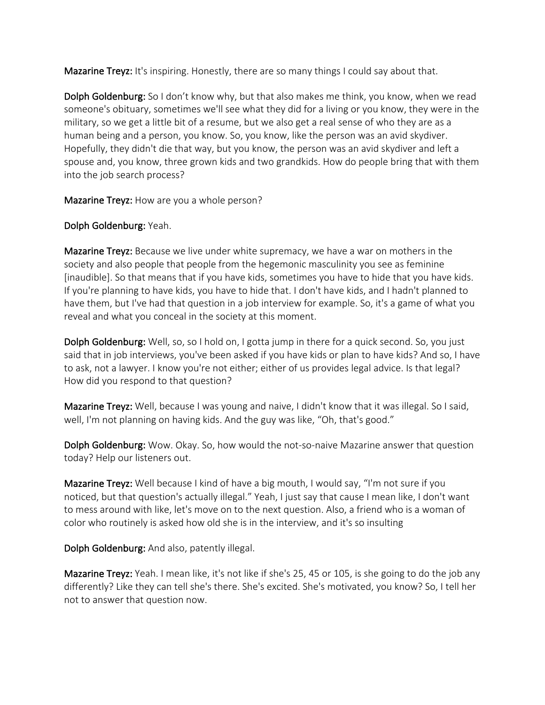Mazarine Treyz: It's inspiring. Honestly, there are so many things I could say about that.

Dolph Goldenburg: So I don't know why, but that also makes me think, you know, when we read someone's obituary, sometimes we'll see what they did for a living or you know, they were in the military, so we get a little bit of a resume, but we also get a real sense of who they are as a human being and a person, you know. So, you know, like the person was an avid skydiver. Hopefully, they didn't die that way, but you know, the person was an avid skydiver and left a spouse and, you know, three grown kids and two grandkids. How do people bring that with them into the job search process?

Mazarine Treyz: How are you a whole person?

## Dolph Goldenburg: Yeah.

Mazarine Treyz: Because we live under white supremacy, we have a war on mothers in the society and also people that people from the hegemonic masculinity you see as feminine [inaudible]. So that means that if you have kids, sometimes you have to hide that you have kids. If you're planning to have kids, you have to hide that. I don't have kids, and I hadn't planned to have them, but I've had that question in a job interview for example. So, it's a game of what you reveal and what you conceal in the society at this moment.

Dolph Goldenburg: Well, so, so I hold on, I gotta jump in there for a quick second. So, you just said that in job interviews, you've been asked if you have kids or plan to have kids? And so, I have to ask, not a lawyer. I know you're not either; either of us provides legal advice. Is that legal? How did you respond to that question?

Mazarine Treyz: Well, because I was young and naive, I didn't know that it was illegal. So I said, well, I'm not planning on having kids. And the guy was like, "Oh, that's good."

Dolph Goldenburg: Wow. Okay. So, how would the not-so-naive Mazarine answer that question today? Help our listeners out.

Mazarine Treyz: Well because I kind of have a big mouth, I would say, "I'm not sure if you noticed, but that question's actually illegal." Yeah, I just say that cause I mean like, I don't want to mess around with like, let's move on to the next question. Also, a friend who is a woman of color who routinely is asked how old she is in the interview, and it's so insulting

Dolph Goldenburg: And also, patently illegal.

Mazarine Treyz: Yeah. I mean like, it's not like if she's 25, 45 or 105, is she going to do the job any differently? Like they can tell she's there. She's excited. She's motivated, you know? So, I tell her not to answer that question now.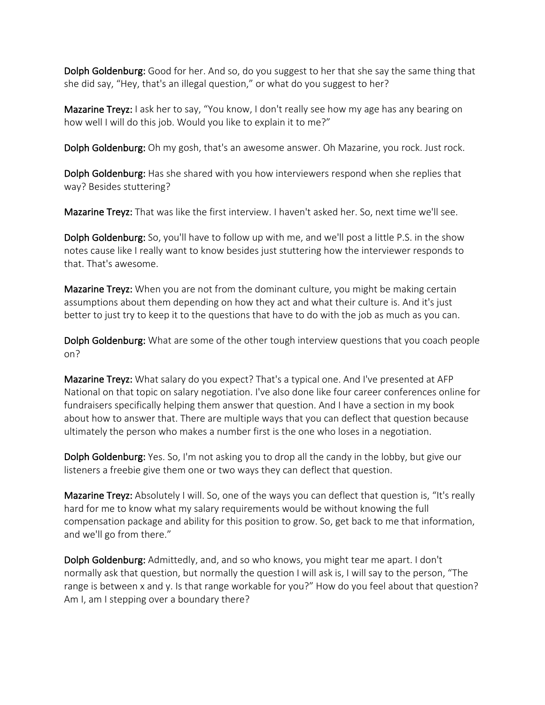Dolph Goldenburg: Good for her. And so, do you suggest to her that she say the same thing that she did say, "Hey, that's an illegal question," or what do you suggest to her?

Mazarine Treyz: I ask her to say, "You know, I don't really see how my age has any bearing on how well I will do this job. Would you like to explain it to me?"

Dolph Goldenburg: Oh my gosh, that's an awesome answer. Oh Mazarine, you rock. Just rock.

Dolph Goldenburg: Has she shared with you how interviewers respond when she replies that way? Besides stuttering?

Mazarine Treyz: That was like the first interview. I haven't asked her. So, next time we'll see.

Dolph Goldenburg: So, you'll have to follow up with me, and we'll post a little P.S. in the show notes cause like I really want to know besides just stuttering how the interviewer responds to that. That's awesome.

Mazarine Treyz: When you are not from the dominant culture, you might be making certain assumptions about them depending on how they act and what their culture is. And it's just better to just try to keep it to the questions that have to do with the job as much as you can.

Dolph Goldenburg: What are some of the other tough interview questions that you coach people on?

Mazarine Treyz: What salary do you expect? That's a typical one. And I've presented at AFP National on that topic on salary negotiation. I've also done like four career conferences online for fundraisers specifically helping them answer that question. And I have a section in my book about how to answer that. There are multiple ways that you can deflect that question because ultimately the person who makes a number first is the one who loses in a negotiation.

Dolph Goldenburg: Yes. So, I'm not asking you to drop all the candy in the lobby, but give our listeners a freebie give them one or two ways they can deflect that question.

Mazarine Treyz: Absolutely I will. So, one of the ways you can deflect that question is, "It's really hard for me to know what my salary requirements would be without knowing the full compensation package and ability for this position to grow. So, get back to me that information, and we'll go from there."

Dolph Goldenburg: Admittedly, and, and so who knows, you might tear me apart. I don't normally ask that question, but normally the question I will ask is, I will say to the person, "The range is between x and y. Is that range workable for you?" How do you feel about that question? Am I, am I stepping over a boundary there?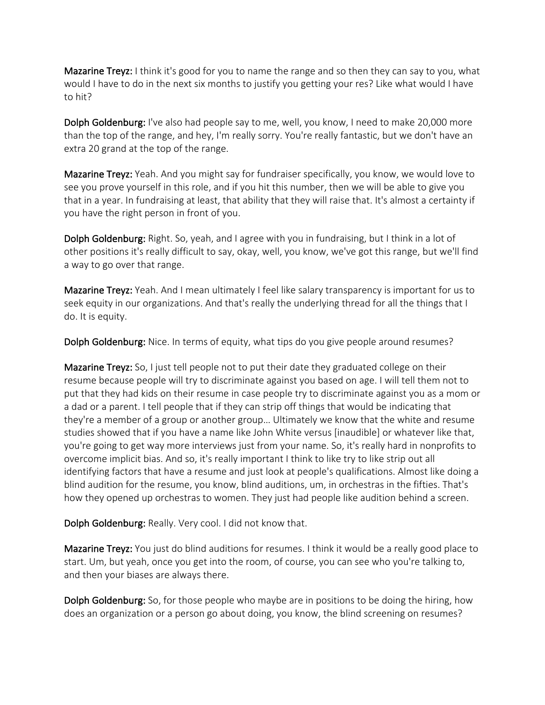Mazarine Treyz: I think it's good for you to name the range and so then they can say to you, what would I have to do in the next six months to justify you getting your res? Like what would I have to hit?

Dolph Goldenburg: I've also had people say to me, well, you know, I need to make 20,000 more than the top of the range, and hey, I'm really sorry. You're really fantastic, but we don't have an extra 20 grand at the top of the range.

Mazarine Treyz: Yeah. And you might say for fundraiser specifically, you know, we would love to see you prove yourself in this role, and if you hit this number, then we will be able to give you that in a year. In fundraising at least, that ability that they will raise that. It's almost a certainty if you have the right person in front of you.

Dolph Goldenburg: Right. So, yeah, and I agree with you in fundraising, but I think in a lot of other positions it's really difficult to say, okay, well, you know, we've got this range, but we'll find a way to go over that range.

Mazarine Treyz: Yeah. And I mean ultimately I feel like salary transparency is important for us to seek equity in our organizations. And that's really the underlying thread for all the things that I do. It is equity.

Dolph Goldenburg: Nice. In terms of equity, what tips do you give people around resumes?

Mazarine Treyz: So, I just tell people not to put their date they graduated college on their resume because people will try to discriminate against you based on age. I will tell them not to put that they had kids on their resume in case people try to discriminate against you as a mom or a dad or a parent. I tell people that if they can strip off things that would be indicating that they're a member of a group or another group… Ultimately we know that the white and resume studies showed that if you have a name like John White versus [inaudible] or whatever like that, you're going to get way more interviews just from your name. So, it's really hard in nonprofits to overcome implicit bias. And so, it's really important I think to like try to like strip out all identifying factors that have a resume and just look at people's qualifications. Almost like doing a blind audition for the resume, you know, blind auditions, um, in orchestras in the fifties. That's how they opened up orchestras to women. They just had people like audition behind a screen.

Dolph Goldenburg: Really. Very cool. I did not know that.

Mazarine Treyz: You just do blind auditions for resumes. I think it would be a really good place to start. Um, but yeah, once you get into the room, of course, you can see who you're talking to, and then your biases are always there.

Dolph Goldenburg: So, for those people who maybe are in positions to be doing the hiring, how does an organization or a person go about doing, you know, the blind screening on resumes?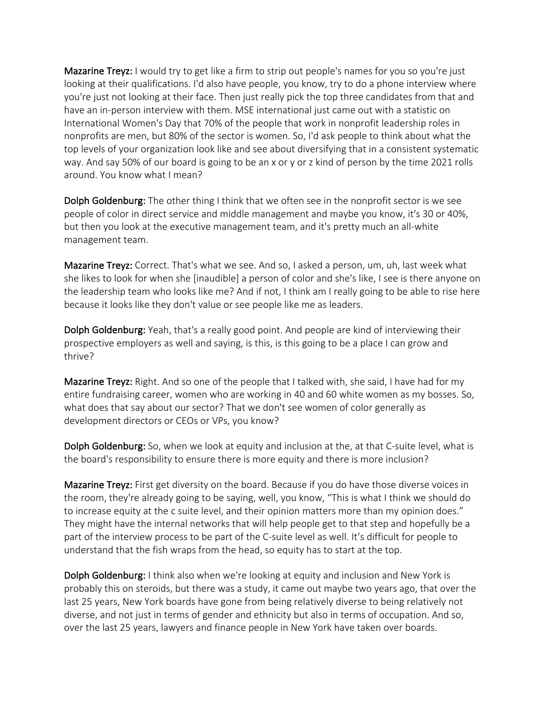Mazarine Treyz: I would try to get like a firm to strip out people's names for you so you're just looking at their qualifications. I'd also have people, you know, try to do a phone interview where you're just not looking at their face. Then just really pick the top three candidates from that and have an in-person interview with them. MSE international just came out with a statistic on International Women's Day that 70% of the people that work in nonprofit leadership roles in nonprofits are men, but 80% of the sector is women. So, I'd ask people to think about what the top levels of your organization look like and see about diversifying that in a consistent systematic way. And say 50% of our board is going to be an x or y or z kind of person by the time 2021 rolls around. You know what I mean?

Dolph Goldenburg: The other thing I think that we often see in the nonprofit sector is we see people of color in direct service and middle management and maybe you know, it's 30 or 40%, but then you look at the executive management team, and it's pretty much an all-white management team.

Mazarine Treyz: Correct. That's what we see. And so, I asked a person, um, uh, last week what she likes to look for when she [inaudible] a person of color and she's like, I see is there anyone on the leadership team who looks like me? And if not, I think am I really going to be able to rise here because it looks like they don't value or see people like me as leaders.

Dolph Goldenburg: Yeah, that's a really good point. And people are kind of interviewing their prospective employers as well and saying, is this, is this going to be a place I can grow and thrive?

Mazarine Treyz: Right. And so one of the people that I talked with, she said, I have had for my entire fundraising career, women who are working in 40 and 60 white women as my bosses. So, what does that say about our sector? That we don't see women of color generally as development directors or CEOs or VPs, you know?

Dolph Goldenburg: So, when we look at equity and inclusion at the, at that C-suite level, what is the board's responsibility to ensure there is more equity and there is more inclusion?

Mazarine Treyz: First get diversity on the board. Because if you do have those diverse voices in the room, they're already going to be saying, well, you know, "This is what I think we should do to increase equity at the c suite level, and their opinion matters more than my opinion does." They might have the internal networks that will help people get to that step and hopefully be a part of the interview process to be part of the C-suite level as well. It's difficult for people to understand that the fish wraps from the head, so equity has to start at the top.

Dolph Goldenburg: I think also when we're looking at equity and inclusion and New York is probably this on steroids, but there was a study, it came out maybe two years ago, that over the last 25 years, New York boards have gone from being relatively diverse to being relatively not diverse, and not just in terms of gender and ethnicity but also in terms of occupation. And so, over the last 25 years, lawyers and finance people in New York have taken over boards.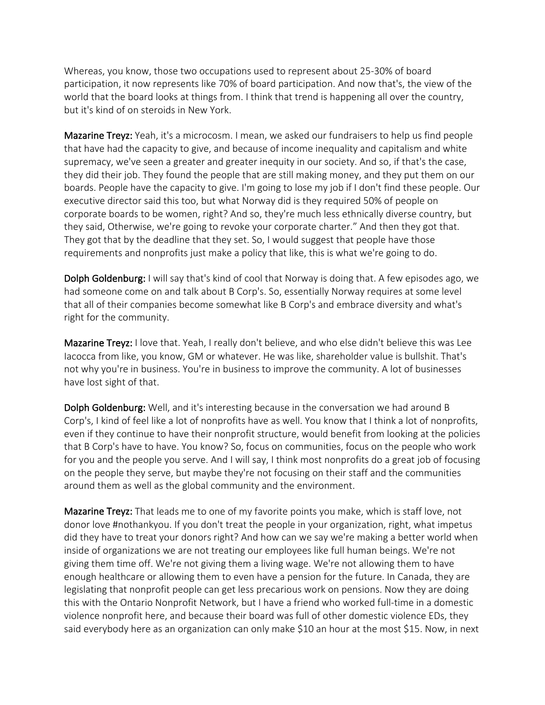Whereas, you know, those two occupations used to represent about 25-30% of board participation, it now represents like 70% of board participation. And now that's, the view of the world that the board looks at things from. I think that trend is happening all over the country, but it's kind of on steroids in New York.

Mazarine Treyz: Yeah, it's a microcosm. I mean, we asked our fundraisers to help us find people that have had the capacity to give, and because of income inequality and capitalism and white supremacy, we've seen a greater and greater inequity in our society. And so, if that's the case, they did their job. They found the people that are still making money, and they put them on our boards. People have the capacity to give. I'm going to lose my job if I don't find these people. Our executive director said this too, but what Norway did is they required 50% of people on corporate boards to be women, right? And so, they're much less ethnically diverse country, but they said, Otherwise, we're going to revoke your corporate charter." And then they got that. They got that by the deadline that they set. So, I would suggest that people have those requirements and nonprofits just make a policy that like, this is what we're going to do.

Dolph Goldenburg: I will say that's kind of cool that Norway is doing that. A few episodes ago, we had someone come on and talk about B Corp's. So, essentially Norway requires at some level that all of their companies become somewhat like B Corp's and embrace diversity and what's right for the community.

Mazarine Treyz: I love that. Yeah, I really don't believe, and who else didn't believe this was Lee Iacocca from like, you know, GM or whatever. He was like, shareholder value is bullshit. That's not why you're in business. You're in business to improve the community. A lot of businesses have lost sight of that.

Dolph Goldenburg: Well, and it's interesting because in the conversation we had around B Corp's, I kind of feel like a lot of nonprofits have as well. You know that I think a lot of nonprofits, even if they continue to have their nonprofit structure, would benefit from looking at the policies that B Corp's have to have. You know? So, focus on communities, focus on the people who work for you and the people you serve. And I will say, I think most nonprofits do a great job of focusing on the people they serve, but maybe they're not focusing on their staff and the communities around them as well as the global community and the environment.

Mazarine Treyz: That leads me to one of my favorite points you make, which is staff love, not donor love #nothankyou. If you don't treat the people in your organization, right, what impetus did they have to treat your donors right? And how can we say we're making a better world when inside of organizations we are not treating our employees like full human beings. We're not giving them time off. We're not giving them a living wage. We're not allowing them to have enough healthcare or allowing them to even have a pension for the future. In Canada, they are legislating that nonprofit people can get less precarious work on pensions. Now they are doing this with the Ontario Nonprofit Network, but I have a friend who worked full-time in a domestic violence nonprofit here, and because their board was full of other domestic violence EDs, they said everybody here as an organization can only make \$10 an hour at the most \$15. Now, in next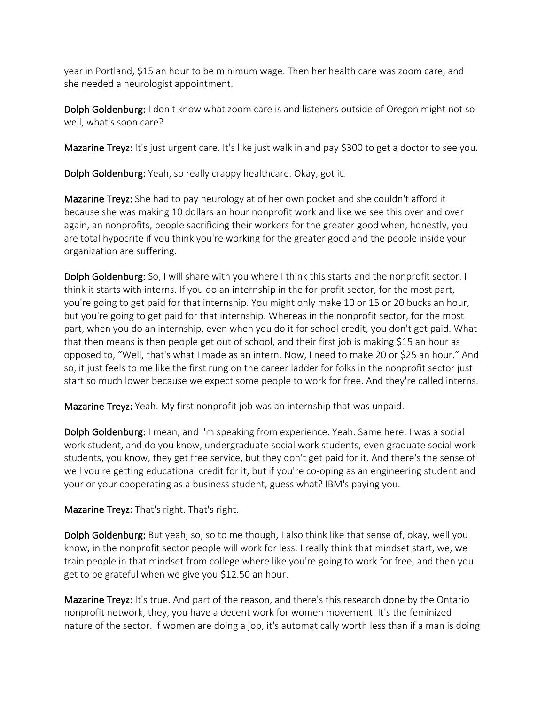year in Portland, \$15 an hour to be minimum wage. Then her health care was zoom care, and she needed a neurologist appointment.

Dolph Goldenburg: I don't know what zoom care is and listeners outside of Oregon might not so well, what's soon care?

Mazarine Treyz: It's just urgent care. It's like just walk in and pay \$300 to get a doctor to see you.

Dolph Goldenburg: Yeah, so really crappy healthcare. Okay, got it.

Mazarine Treyz: She had to pay neurology at of her own pocket and she couldn't afford it because she was making 10 dollars an hour nonprofit work and like we see this over and over again, an nonprofits, people sacrificing their workers for the greater good when, honestly, you are total hypocrite if you think you're working for the greater good and the people inside your organization are suffering.

Dolph Goldenburg: So, I will share with you where I think this starts and the nonprofit sector. I think it starts with interns. If you do an internship in the for-profit sector, for the most part, you're going to get paid for that internship. You might only make 10 or 15 or 20 bucks an hour, but you're going to get paid for that internship. Whereas in the nonprofit sector, for the most part, when you do an internship, even when you do it for school credit, you don't get paid. What that then means is then people get out of school, and their first job is making \$15 an hour as opposed to, "Well, that's what I made as an intern. Now, I need to make 20 or \$25 an hour." And so, it just feels to me like the first rung on the career ladder for folks in the nonprofit sector just start so much lower because we expect some people to work for free. And they're called interns.

Mazarine Treyz: Yeah. My first nonprofit job was an internship that was unpaid.

Dolph Goldenburg: I mean, and I'm speaking from experience. Yeah. Same here. I was a social work student, and do you know, undergraduate social work students, even graduate social work students, you know, they get free service, but they don't get paid for it. And there's the sense of well you're getting educational credit for it, but if you're co-oping as an engineering student and your or your cooperating as a business student, guess what? IBM's paying you.

Mazarine Treyz: That's right. That's right.

Dolph Goldenburg: But yeah, so, so to me though, I also think like that sense of, okay, well you know, in the nonprofit sector people will work for less. I really think that mindset start, we, we train people in that mindset from college where like you're going to work for free, and then you get to be grateful when we give you \$12.50 an hour.

Mazarine Treyz: It's true. And part of the reason, and there's this research done by the Ontario nonprofit network, they, you have a decent work for women movement. It's the feminized nature of the sector. If women are doing a job, it's automatically worth less than if a man is doing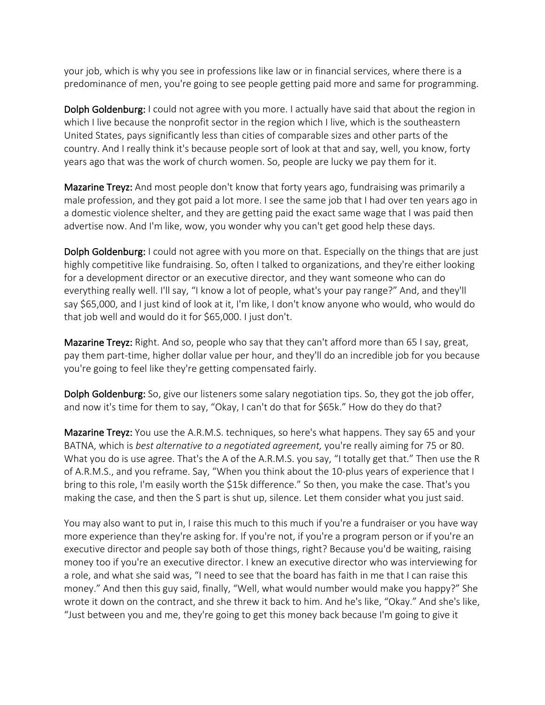your job, which is why you see in professions like law or in financial services, where there is a predominance of men, you're going to see people getting paid more and same for programming.

Dolph Goldenburg: I could not agree with you more. I actually have said that about the region in which I live because the nonprofit sector in the region which I live, which is the southeastern United States, pays significantly less than cities of comparable sizes and other parts of the country. And I really think it's because people sort of look at that and say, well, you know, forty years ago that was the work of church women. So, people are lucky we pay them for it.

Mazarine Treyz: And most people don't know that forty years ago, fundraising was primarily a male profession, and they got paid a lot more. I see the same job that I had over ten years ago in a domestic violence shelter, and they are getting paid the exact same wage that I was paid then advertise now. And I'm like, wow, you wonder why you can't get good help these days.

Dolph Goldenburg: I could not agree with you more on that. Especially on the things that are just highly competitive like fundraising. So, often I talked to organizations, and they're either looking for a development director or an executive director, and they want someone who can do everything really well. I'll say, "I know a lot of people, what's your pay range?" And, and they'll say \$65,000, and I just kind of look at it, I'm like, I don't know anyone who would, who would do that job well and would do it for \$65,000. I just don't.

Mazarine Treyz: Right. And so, people who say that they can't afford more than 65 I say, great, pay them part-time, higher dollar value per hour, and they'll do an incredible job for you because you're going to feel like they're getting compensated fairly.

Dolph Goldenburg: So, give our listeners some salary negotiation tips. So, they got the job offer, and now it's time for them to say, "Okay, I can't do that for \$65k." How do they do that?

Mazarine Treyz: You use the A.R.M.S. techniques, so here's what happens. They say 65 and your BATNA, which is *best alternative to a negotiated agreement,* you're really aiming for 75 or 80. What you do is use agree. That's the A of the A.R.M.S. you say, "I totally get that." Then use the R of A.R.M.S., and you reframe. Say, "When you think about the 10-plus years of experience that I bring to this role, I'm easily worth the \$15k difference." So then, you make the case. That's you making the case, and then the S part is shut up, silence. Let them consider what you just said.

You may also want to put in, I raise this much to this much if you're a fundraiser or you have way more experience than they're asking for. If you're not, if you're a program person or if you're an executive director and people say both of those things, right? Because you'd be waiting, raising money too if you're an executive director. I knew an executive director who was interviewing for a role, and what she said was, "I need to see that the board has faith in me that I can raise this money." And then this guy said, finally, "Well, what would number would make you happy?" She wrote it down on the contract, and she threw it back to him. And he's like, "Okay." And she's like, "Just between you and me, they're going to get this money back because I'm going to give it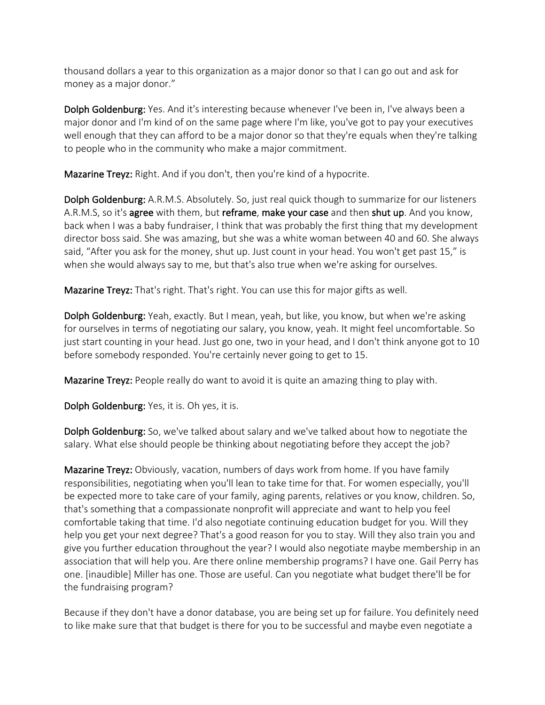thousand dollars a year to this organization as a major donor so that I can go out and ask for money as a major donor."

Dolph Goldenburg: Yes. And it's interesting because whenever I've been in, I've always been a major donor and I'm kind of on the same page where I'm like, you've got to pay your executives well enough that they can afford to be a major donor so that they're equals when they're talking to people who in the community who make a major commitment.

Mazarine Treyz: Right. And if you don't, then you're kind of a hypocrite.

Dolph Goldenburg: A.R.M.S. Absolutely. So, just real quick though to summarize for our listeners A.R.M.S, so it's agree with them, but reframe, make your case and then shut up. And you know, back when I was a baby fundraiser, I think that was probably the first thing that my development director boss said. She was amazing, but she was a white woman between 40 and 60. She always said, "After you ask for the money, shut up. Just count in your head. You won't get past 15," is when she would always say to me, but that's also true when we're asking for ourselves.

Mazarine Treyz: That's right. That's right. You can use this for major gifts as well.

Dolph Goldenburg: Yeah, exactly. But I mean, yeah, but like, you know, but when we're asking for ourselves in terms of negotiating our salary, you know, yeah. It might feel uncomfortable. So just start counting in your head. Just go one, two in your head, and I don't think anyone got to 10 before somebody responded. You're certainly never going to get to 15.

Mazarine Treyz: People really do want to avoid it is quite an amazing thing to play with.

Dolph Goldenburg: Yes, it is. Oh yes, it is.

Dolph Goldenburg: So, we've talked about salary and we've talked about how to negotiate the salary. What else should people be thinking about negotiating before they accept the job?

Mazarine Treyz: Obviously, vacation, numbers of days work from home. If you have family responsibilities, negotiating when you'll lean to take time for that. For women especially, you'll be expected more to take care of your family, aging parents, relatives or you know, children. So, that's something that a compassionate nonprofit will appreciate and want to help you feel comfortable taking that time. I'd also negotiate continuing education budget for you. Will they help you get your next degree? That's a good reason for you to stay. Will they also train you and give you further education throughout the year? I would also negotiate maybe membership in an association that will help you. Are there online membership programs? I have one. Gail Perry has one. [inaudible] Miller has one. Those are useful. Can you negotiate what budget there'll be for the fundraising program?

Because if they don't have a donor database, you are being set up for failure. You definitely need to like make sure that that budget is there for you to be successful and maybe even negotiate a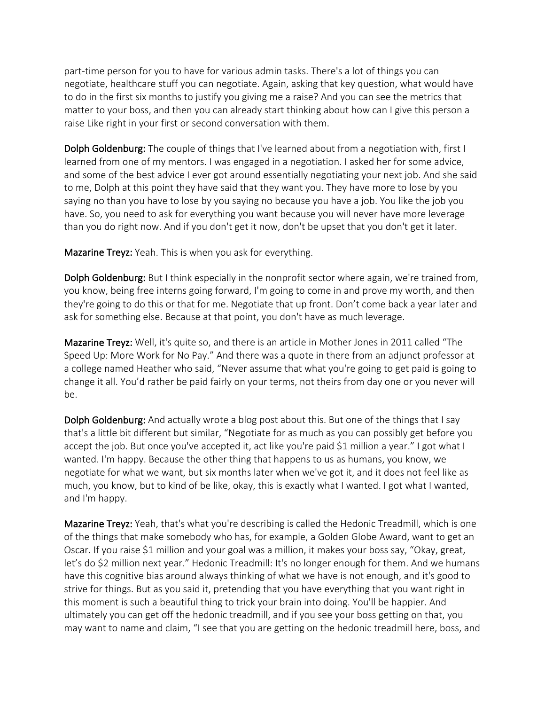part-time person for you to have for various admin tasks. There's a lot of things you can negotiate, healthcare stuff you can negotiate. Again, asking that key question, what would have to do in the first six months to justify you giving me a raise? And you can see the metrics that matter to your boss, and then you can already start thinking about how can I give this person a raise Like right in your first or second conversation with them.

Dolph Goldenburg: The couple of things that I've learned about from a negotiation with, first I learned from one of my mentors. I was engaged in a negotiation. I asked her for some advice, and some of the best advice I ever got around essentially negotiating your next job. And she said to me, Dolph at this point they have said that they want you. They have more to lose by you saying no than you have to lose by you saying no because you have a job. You like the job you have. So, you need to ask for everything you want because you will never have more leverage than you do right now. And if you don't get it now, don't be upset that you don't get it later.

Mazarine Treyz: Yeah. This is when you ask for everything.

Dolph Goldenburg: But I think especially in the nonprofit sector where again, we're trained from, you know, being free interns going forward, I'm going to come in and prove my worth, and then they're going to do this or that for me. Negotiate that up front. Don't come back a year later and ask for something else. Because at that point, you don't have as much leverage.

Mazarine Treyz: Well, it's quite so, and there is an article in Mother Jones in 2011 called "The Speed Up: More Work for No Pay." And there was a quote in there from an adjunct professor at a college named Heather who said, "Never assume that what you're going to get paid is going to change it all. You'd rather be paid fairly on your terms, not theirs from day one or you never will be.

Dolph Goldenburg: And actually wrote a blog post about this. But one of the things that I say that's a little bit different but similar, "Negotiate for as much as you can possibly get before you accept the job. But once you've accepted it, act like you're paid \$1 million a year." I got what I wanted. I'm happy. Because the other thing that happens to us as humans, you know, we negotiate for what we want, but six months later when we've got it, and it does not feel like as much, you know, but to kind of be like, okay, this is exactly what I wanted. I got what I wanted, and I'm happy.

Mazarine Treyz: Yeah, that's what you're describing is called the Hedonic Treadmill, which is one of the things that make somebody who has, for example, a Golden Globe Award, want to get an Oscar. If you raise \$1 million and your goal was a million, it makes your boss say, "Okay, great, let's do \$2 million next year." Hedonic Treadmill: It's no longer enough for them. And we humans have this cognitive bias around always thinking of what we have is not enough, and it's good to strive for things. But as you said it, pretending that you have everything that you want right in this moment is such a beautiful thing to trick your brain into doing. You'll be happier. And ultimately you can get off the hedonic treadmill, and if you see your boss getting on that, you may want to name and claim, "I see that you are getting on the hedonic treadmill here, boss, and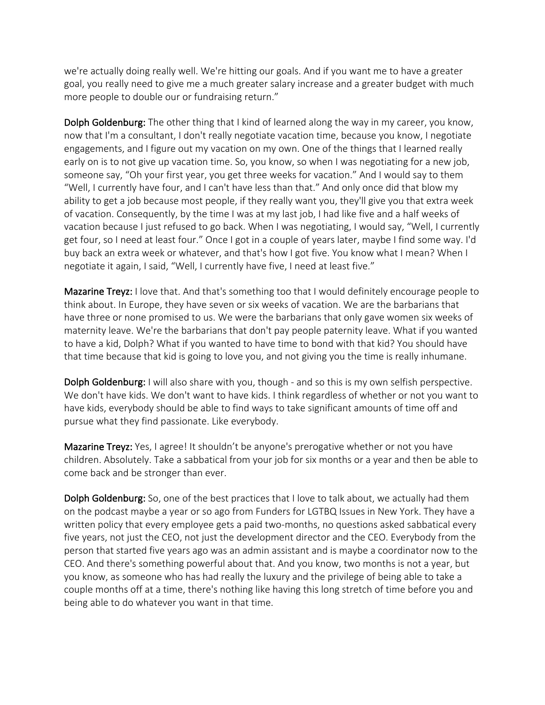we're actually doing really well. We're hitting our goals. And if you want me to have a greater goal, you really need to give me a much greater salary increase and a greater budget with much more people to double our or fundraising return."

Dolph Goldenburg: The other thing that I kind of learned along the way in my career, you know, now that I'm a consultant, I don't really negotiate vacation time, because you know, I negotiate engagements, and I figure out my vacation on my own. One of the things that I learned really early on is to not give up vacation time. So, you know, so when I was negotiating for a new job, someone say, "Oh your first year, you get three weeks for vacation." And I would say to them "Well, I currently have four, and I can't have less than that." And only once did that blow my ability to get a job because most people, if they really want you, they'll give you that extra week of vacation. Consequently, by the time I was at my last job, I had like five and a half weeks of vacation because I just refused to go back. When I was negotiating, I would say, "Well, I currently get four, so I need at least four." Once I got in a couple of years later, maybe I find some way. I'd buy back an extra week or whatever, and that's how I got five. You know what I mean? When I negotiate it again, I said, "Well, I currently have five, I need at least five."

Mazarine Treyz: I love that. And that's something too that I would definitely encourage people to think about. In Europe, they have seven or six weeks of vacation. We are the barbarians that have three or none promised to us. We were the barbarians that only gave women six weeks of maternity leave. We're the barbarians that don't pay people paternity leave. What if you wanted to have a kid, Dolph? What if you wanted to have time to bond with that kid? You should have that time because that kid is going to love you, and not giving you the time is really inhumane.

Dolph Goldenburg: I will also share with you, though - and so this is my own selfish perspective. We don't have kids. We don't want to have kids. I think regardless of whether or not you want to have kids, everybody should be able to find ways to take significant amounts of time off and pursue what they find passionate. Like everybody.

Mazarine Treyz: Yes, I agree! It shouldn't be anyone's prerogative whether or not you have children. Absolutely. Take a sabbatical from your job for six months or a year and then be able to come back and be stronger than ever.

Dolph Goldenburg: So, one of the best practices that I love to talk about, we actually had them on the podcast maybe a year or so ago from Funders for LGTBQ Issues in New York. They have a written policy that every employee gets a paid two-months, no questions asked sabbatical every five years, not just the CEO, not just the development director and the CEO. Everybody from the person that started five years ago was an admin assistant and is maybe a coordinator now to the CEO. And there's something powerful about that. And you know, two months is not a year, but you know, as someone who has had really the luxury and the privilege of being able to take a couple months off at a time, there's nothing like having this long stretch of time before you and being able to do whatever you want in that time.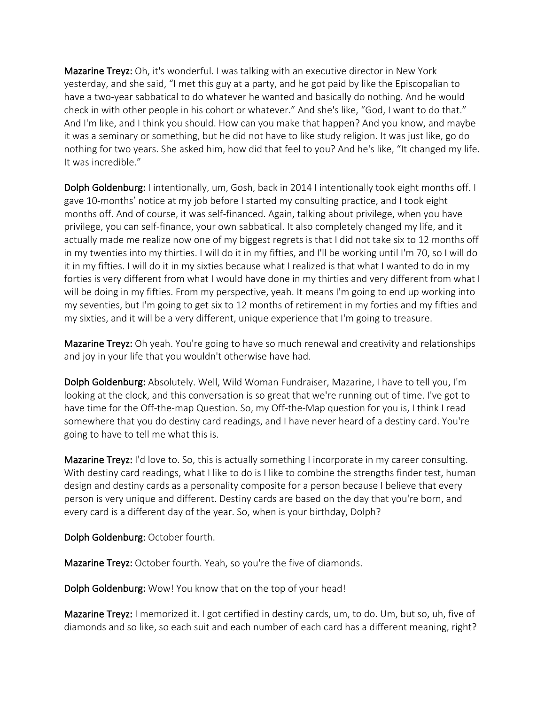Mazarine Treyz: Oh, it's wonderful. I was talking with an executive director in New York yesterday, and she said, "I met this guy at a party, and he got paid by like the Episcopalian to have a two-year sabbatical to do whatever he wanted and basically do nothing. And he would check in with other people in his cohort or whatever." And she's like, "God, I want to do that." And I'm like, and I think you should. How can you make that happen? And you know, and maybe it was a seminary or something, but he did not have to like study religion. It was just like, go do nothing for two years. She asked him, how did that feel to you? And he's like, "It changed my life. It was incredible."

Dolph Goldenburg: I intentionally, um, Gosh, back in 2014 I intentionally took eight months off. I gave 10-months' notice at my job before I started my consulting practice, and I took eight months off. And of course, it was self-financed. Again, talking about privilege, when you have privilege, you can self-finance, your own sabbatical. It also completely changed my life, and it actually made me realize now one of my biggest regrets is that I did not take six to 12 months off in my twenties into my thirties. I will do it in my fifties, and I'll be working until I'm 70, so I will do it in my fifties. I will do it in my sixties because what I realized is that what I wanted to do in my forties is very different from what I would have done in my thirties and very different from what I will be doing in my fifties. From my perspective, yeah. It means I'm going to end up working into my seventies, but I'm going to get six to 12 months of retirement in my forties and my fifties and my sixties, and it will be a very different, unique experience that I'm going to treasure.

Mazarine Treyz: Oh yeah. You're going to have so much renewal and creativity and relationships and joy in your life that you wouldn't otherwise have had.

Dolph Goldenburg: Absolutely. Well, Wild Woman Fundraiser, Mazarine, I have to tell you, I'm looking at the clock, and this conversation is so great that we're running out of time. I've got to have time for the Off-the-map Question. So, my Off-the-Map question for you is, I think I read somewhere that you do destiny card readings, and I have never heard of a destiny card. You're going to have to tell me what this is.

Mazarine Treyz: I'd love to. So, this is actually something I incorporate in my career consulting. With destiny card readings, what I like to do is I like to combine the strengths finder test, human design and destiny cards as a personality composite for a person because I believe that every person is very unique and different. Destiny cards are based on the day that you're born, and every card is a different day of the year. So, when is your birthday, Dolph?

Dolph Goldenburg: October fourth.

Mazarine Treyz: October fourth. Yeah, so you're the five of diamonds.

Dolph Goldenburg: Wow! You know that on the top of your head!

Mazarine Treyz: I memorized it. I got certified in destiny cards, um, to do. Um, but so, uh, five of diamonds and so like, so each suit and each number of each card has a different meaning, right?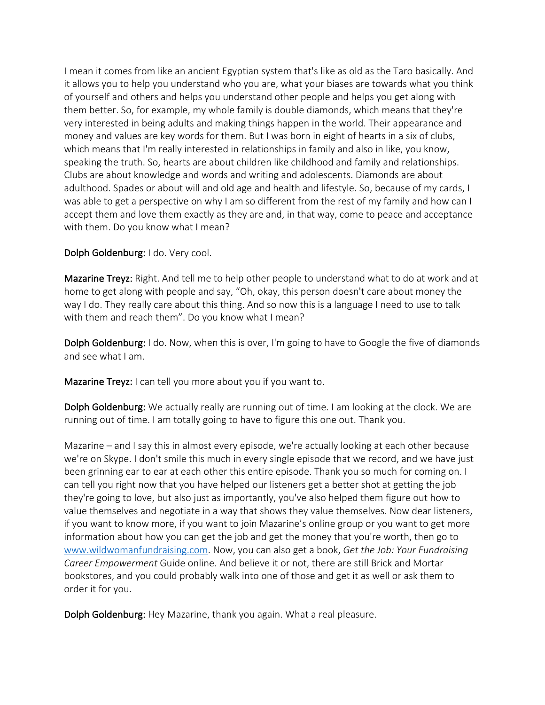I mean it comes from like an ancient Egyptian system that's like as old as the Taro basically. And it allows you to help you understand who you are, what your biases are towards what you think of yourself and others and helps you understand other people and helps you get along with them better. So, for example, my whole family is double diamonds, which means that they're very interested in being adults and making things happen in the world. Their appearance and money and values are key words for them. But I was born in eight of hearts in a six of clubs, which means that I'm really interested in relationships in family and also in like, you know, speaking the truth. So, hearts are about children like childhood and family and relationships. Clubs are about knowledge and words and writing and adolescents. Diamonds are about adulthood. Spades or about will and old age and health and lifestyle. So, because of my cards, I was able to get a perspective on why I am so different from the rest of my family and how can I accept them and love them exactly as they are and, in that way, come to peace and acceptance with them. Do you know what I mean?

Dolph Goldenburg: I do. Very cool.

Mazarine Treyz: Right. And tell me to help other people to understand what to do at work and at home to get along with people and say, "Oh, okay, this person doesn't care about money the way I do. They really care about this thing. And so now this is a language I need to use to talk with them and reach them". Do you know what I mean?

**Dolph Goldenburg:** I do. Now, when this is over, I'm going to have to Google the five of diamonds and see what I am.

Mazarine Treyz: I can tell you more about you if you want to.

Dolph Goldenburg: We actually really are running out of time. I am looking at the clock. We are running out of time. I am totally going to have to figure this one out. Thank you.

Mazarine – and I say this in almost every episode, we're actually looking at each other because we're on Skype. I don't smile this much in every single episode that we record, and we have just been grinning ear to ear at each other this entire episode. Thank you so much for coming on. I can tell you right now that you have helped our listeners get a better shot at getting the job they're going to love, but also just as importantly, you've also helped them figure out how to value themselves and negotiate in a way that shows they value themselves. Now dear listeners, if you want to know more, if you want to join Mazarine's online group or you want to get more information about how you can get the job and get the money that you're worth, then go to www.wildwomanfundraising.com. Now, you can also get a book, *Get the Job: Your Fundraising Career Empowerment* Guide online. And believe it or not, there are still Brick and Mortar bookstores, and you could probably walk into one of those and get it as well or ask them to order it for you.

Dolph Goldenburg: Hey Mazarine, thank you again. What a real pleasure.